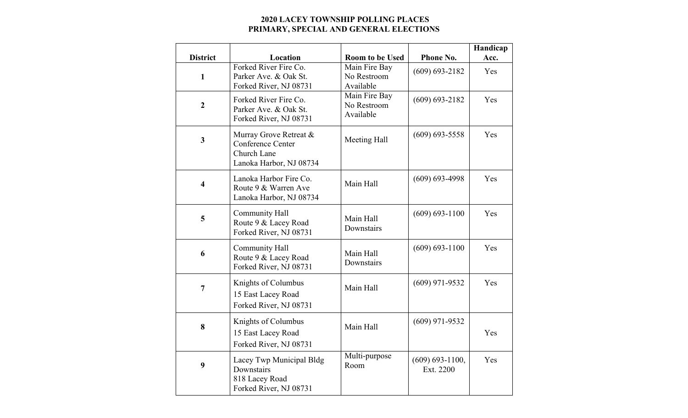## **2020 LACEY TOWNSHIP POLLING PLACES PRIMARY, SPECIAL AND GENERAL ELECTIONS**

|                         |                                                                                       |                                           |                                  | Handicap |
|-------------------------|---------------------------------------------------------------------------------------|-------------------------------------------|----------------------------------|----------|
| <b>District</b>         | Location                                                                              | <b>Room to be Used</b>                    | Phone No.                        | Acc.     |
| $\mathbf{1}$            | Forked River Fire Co.<br>Parker Ave. & Oak St.<br>Forked River, NJ 08731              | Main Fire Bay<br>No Restroom<br>Available | $(609) 693 - 2182$               | Yes      |
| $\boldsymbol{2}$        | Forked River Fire Co.<br>Parker Ave. & Oak St.<br>Forked River, NJ 08731              | Main Fire Bay<br>No Restroom<br>Available | $(609) 693 - 2182$               | Yes      |
| $\mathbf{3}$            | Murray Grove Retreat &<br>Conference Center<br>Church Lane<br>Lanoka Harbor, NJ 08734 | Meeting Hall                              | $(609) 693 - 5558$               | Yes      |
| $\overline{\mathbf{4}}$ | Lanoka Harbor Fire Co.<br>Route 9 & Warren Ave<br>Lanoka Harbor, NJ 08734             | Main Hall                                 | $(609) 693 - 4998$               | Yes      |
| 5                       | Community Hall<br>Route 9 & Lacey Road<br>Forked River, NJ 08731                      | Main Hall<br>Downstairs                   | $(609) 693 - 1100$               | Yes      |
| 6                       | <b>Community Hall</b><br>Route 9 & Lacey Road<br>Forked River, NJ 08731               | Main Hall<br>Downstairs                   | $(609) 693 - 1100$               | Yes      |
| $\overline{7}$          | Knights of Columbus<br>15 East Lacey Road<br>Forked River, NJ 08731                   | Main Hall                                 | $(609)$ 971-9532                 | Yes      |
| 8                       | Knights of Columbus<br>15 East Lacey Road<br>Forked River, NJ 08731                   | Main Hall                                 | $(609)$ 971-9532                 | Yes      |
| 9                       | Lacey Twp Municipal Bldg<br>Downstairs<br>818 Lacey Road<br>Forked River, NJ 08731    | Multi-purpose<br>Room                     | $(609) 693 - 1100,$<br>Ext. 2200 | Yes      |